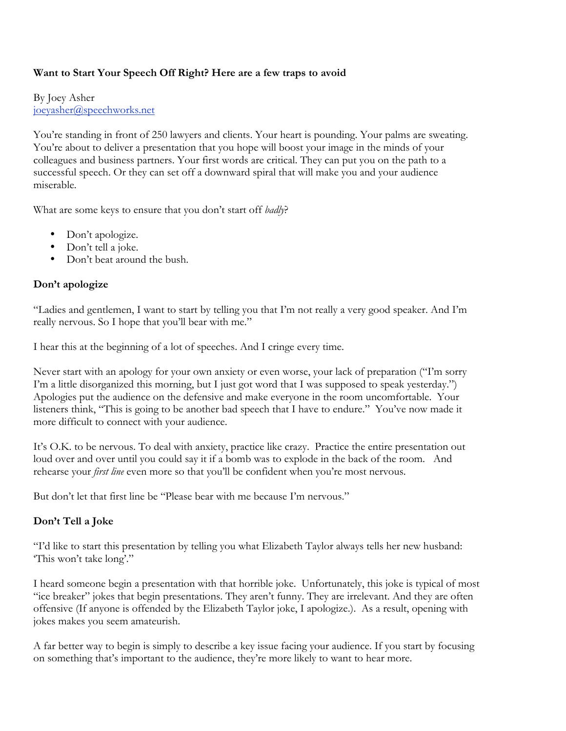## **Want to Start Your Speech Off Right? Here are a few traps to avoid**

By Joey Asher joeyasher@speechworks.net

You're standing in front of 250 lawyers and clients. Your heart is pounding. Your palms are sweating. You're about to deliver a presentation that you hope will boost your image in the minds of your colleagues and business partners. Your first words are critical. They can put you on the path to a successful speech. Or they can set off a downward spiral that will make you and your audience miserable.

What are some keys to ensure that you don't start off *badly*?

- Don't apologize.
- Don't tell a joke.
- Don't beat around the bush.

## **Don't apologize**

"Ladies and gentlemen, I want to start by telling you that I'm not really a very good speaker. And I'm really nervous. So I hope that you'll bear with me."

I hear this at the beginning of a lot of speeches. And I cringe every time.

Never start with an apology for your own anxiety or even worse, your lack of preparation ("I'm sorry I'm a little disorganized this morning, but I just got word that I was supposed to speak yesterday.") Apologies put the audience on the defensive and make everyone in the room uncomfortable. Your listeners think, "This is going to be another bad speech that I have to endure." You've now made it more difficult to connect with your audience.

It's O.K. to be nervous. To deal with anxiety, practice like crazy. Practice the entire presentation out loud over and over until you could say it if a bomb was to explode in the back of the room. And rehearse your *first line* even more so that you'll be confident when you're most nervous.

But don't let that first line be "Please bear with me because I'm nervous."

## **Don't Tell a Joke**

"I'd like to start this presentation by telling you what Elizabeth Taylor always tells her new husband: 'This won't take long'."

I heard someone begin a presentation with that horrible joke. Unfortunately, this joke is typical of most "ice breaker" jokes that begin presentations. They aren't funny. They are irrelevant. And they are often offensive (If anyone is offended by the Elizabeth Taylor joke, I apologize.). As a result, opening with jokes makes you seem amateurish.

A far better way to begin is simply to describe a key issue facing your audience. If you start by focusing on something that's important to the audience, they're more likely to want to hear more.